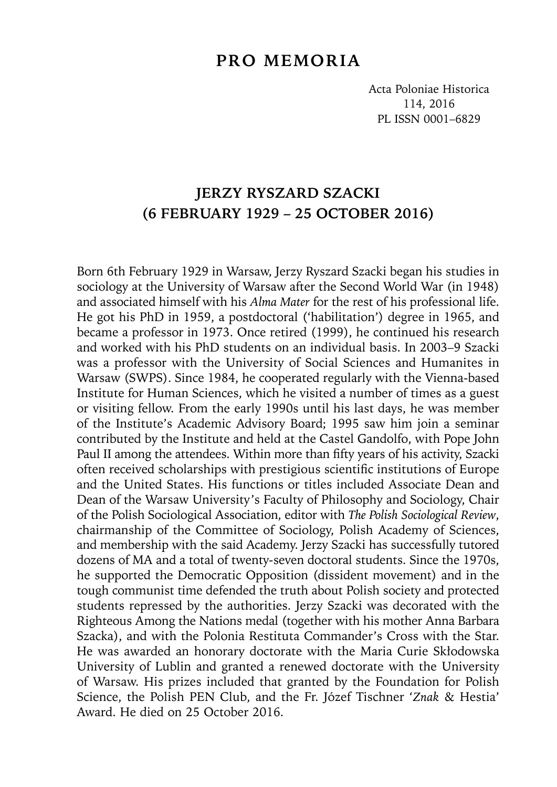## **PRO MEMORIA**

Acta Poloniae Historica 114, 2016 PL ISSN 0001–6829

## **JERZY RYSZARD SZACKI (6 FEBRUARY 1929 – 25 OCTOBER 2016)**

Born 6th February 1929 in Warsaw, Jerzy Ryszard Szacki began his studies in sociology at the University of Warsaw after the Second World War (in 1948) and associated himself with his *Alma Mater* for the rest of his professional life. He got his PhD in 1959, a postdoctoral ('habilitation') degree in 1965, and became a professor in 1973. Once retired (1999), he continued his research and worked with his PhD students on an individual basis. In 2003–9 Szacki was a professor with the University of Social Sciences and Humanites in Warsaw (SWPS). Since 1984, he cooperated regularly with the Vienna-based Institute for Human Sciences, which he visited a number of times as a guest or visiting fellow. From the early 1990s until his last days, he was member of the Institute's Academic Advisory Board; 1995 saw him join a seminar contributed by the Institute and held at the Castel Gandolfo, with Pope John Paul II among the attendees. Within more than fifty years of his activity, Szacki often received scholarships with prestigious scientific institutions of Europe and the United States. His functions or titles included Associate Dean and Dean of the Warsaw University's Faculty of Philosophy and Sociology, Chair of the Polish Sociological Association, editor with *The Polish Sociological Review*, chairmanship of the Committee of Sociology, Polish Academy of Sciences, and membership with the said Academy. Jerzy Szacki has successfully tutored dozens of MA and a total of twenty-seven doctoral students. Since the 1970s, he supported the Democratic Opposition (dissident movement) and in the tough communist time defended the truth about Polish society and protected students repressed by the authorities. Jerzy Szacki was decorated with the Righteous Among the Nations medal (together with his mother Anna Barbara Szacka), and with the Polonia Restituta Commander's Cross with the Star. He was awarded an honorary doctorate with the Maria Curie Skłodowska University of Lublin and granted a renewed doctorate with the University of Warsaw. His prizes included that granted by the Foundation for Polish Science, the Polish PEN Club, and the Fr. Józef Tischner '*Znak* & Hestia' Award. He died on 25 October 2016.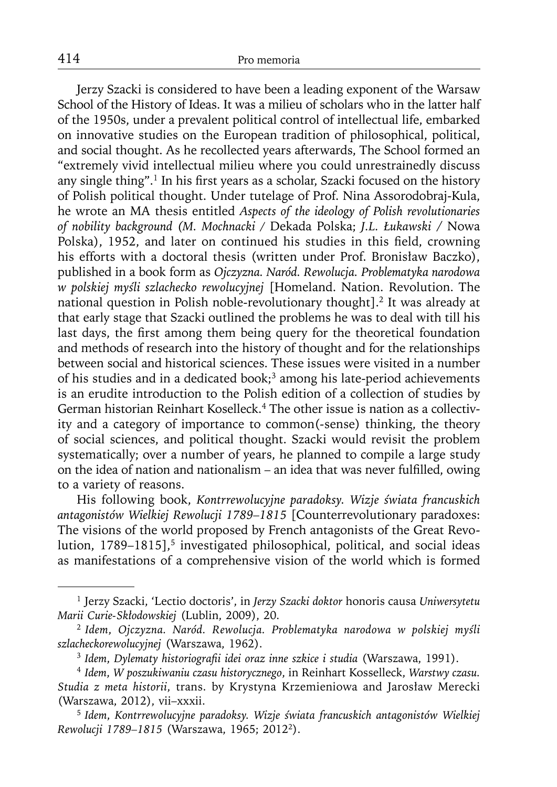Jerzy Szacki is considered to have been a leading exponent of the Warsaw School of the History of Ideas. It was a milieu of scholars who in the latter half of the 1950s, under a prevalent political control of intellectual life, embarked on innovative studies on the European tradition of philosophical, political, and social thought. As he recollected years afterwards, The School formed an "extremely vivid intellectual milieu where you could unrestrainedly discuss any single thing".<sup>1</sup> In his first years as a scholar, Szacki focused on the history of Polish political thought. Under tutelage of Prof. Nina Assorodobraj-Kula, he wrote an MA thesis entitled *Aspects of the ideology of Polish revolutionaries of nobility background (M. Mochnacki /* Dekada Polska; *J.L. Łukawski* / Nowa Polska), 1952, and later on continued his studies in this field, crowning his efforts with a doctoral thesis (written under Prof. Bronisław Baczko), published in a book form as *Ojczyzna. Naród. Rewolucja. Problematyka narodowa w polskiej myśli szlachecko rewolucyjnej* [Homeland. Nation. Revolution. The national question in Polish noble-revolutionary thought].2 It was already at that early stage that Szacki outlined the problems he was to deal with till his last days, the first among them being query for the theoretical foundation and methods of research into the history of thought and for the relationships between social and historical sciences. These issues were visited in a number of his studies and in a dedicated book;<sup>3</sup> among his late-period achievements is an erudite introduction to the Polish edition of a collection of studies by German historian Reinhart Koselleck.<sup>4</sup> The other issue is nation as a collectivity and a category of importance to common(-sense) thinking, the theory of social sciences, and political thought. Szacki would revisit the problem systematically; over a number of years, he planned to compile a large study on the idea of nation and nationalism – an idea that was never fulfilled, owing to a variety of reasons.

His following book, *Kontrrewolucyjne paradoksy. Wizje świata francuskich antagonistów Wielkiej Rewolucji 1789–1815* [Counterrevolutionary paradoxes: The visions of the world proposed by French antagonists of the Great Revolution, 1789–1815],<sup>5</sup> investigated philosophical, political, and social ideas as manifestations of a comprehensive vision of the world which is formed

<sup>1</sup> Jerzy Szacki, 'Lectio doctoris', in *Jerzy Szacki doktor* honoris causa *Uniwersytetu Marii Curie-Skłodowskiej* (Lublin, 2009), 20.

<sup>2</sup>*Idem*, *Ojczyzna. Naród. Rewolucja. Problematyka narodowa w polskiej myśli szlacheckorewolucyjnej* (Warszawa, 1962).

<sup>3</sup>*Idem*, *Dylematy historiografi i idei oraz inne szkice i studia* (Warszawa, 1991).

<sup>4</sup>*Idem*, *W poszukiwaniu czasu historycznego*, in Reinhart Kosselleck, *Warstwy czasu. Studia z meta historii*, trans. by Krystyna Krzemieniowa and Jarosław Merecki (Warszawa, 2012), vii–xxxii.

<sup>5</sup>*Idem*, *Kontrrewolucyjne paradoksy. Wizje świata francuskich antagonistów Wielkiej Rewolucji 1789–1815* (Warszawa, 1965; 20122).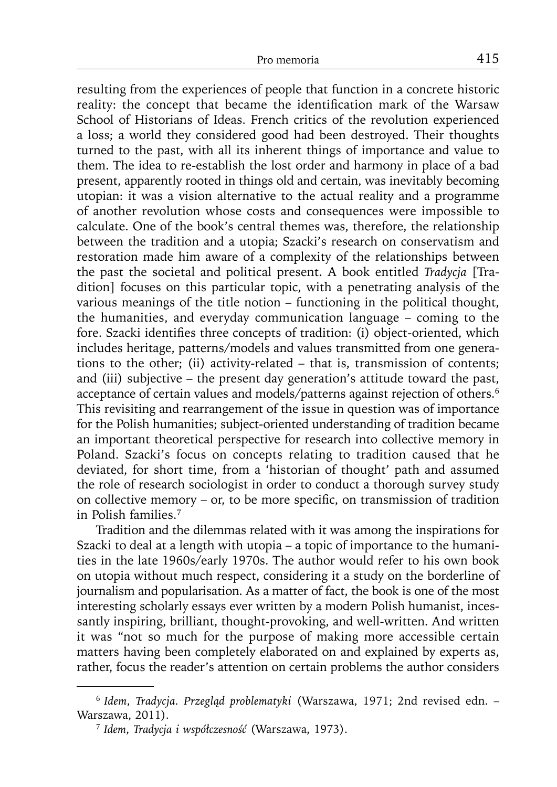resulting from the experiences of people that function in a concrete historic reality: the concept that became the identification mark of the Warsaw School of Historians of Ideas. French critics of the revolution experienced a loss; a world they considered good had been destroyed. Their thoughts turned to the past, with all its inherent things of importance and value to them. The idea to re-establish the lost order and harmony in place of a bad present, apparently rooted in things old and certain, was inevitably becoming utopian: it was a vision alternative to the actual reality and a programme of another revolution whose costs and consequences were impossible to calculate. One of the book's central themes was, therefore, the relationship between the tradition and a utopia; Szacki's research on conservatism and restoration made him aware of a complexity of the relationships between the past the societal and political present. A book entitled *Tradycja* [Tradition] focuses on this particular topic, with a penetrating analysis of the various meanings of the title notion – functioning in the political thought, the humanities, and everyday communication language – coming to the fore. Szacki identifies three concepts of tradition: (i) object-oriented, which includes heritage, patterns/models and values transmitted from one generations to the other; (ii) activity-related – that is, transmission of contents; and (iii) subjective – the present day generation's attitude toward the past, acceptance of certain values and models/patterns against rejection of others.<sup>6</sup> This revisiting and rearrangement of the issue in question was of importance for the Polish humanities; subject-oriented understanding of tradition became an important theoretical perspective for research into collective memory in Poland. Szacki's focus on concepts relating to tradition caused that he deviated, for short time, from a 'historian of thought' path and assumed the role of research sociologist in order to conduct a thorough survey study on collective memory – or, to be more specific, on transmission of tradition in Polish families.7

Tradition and the dilemmas related with it was among the inspirations for Szacki to deal at a length with utopia – a topic of importance to the humanities in the late 1960s/early 1970s. The author would refer to his own book on utopia without much respect, considering it a study on the borderline of journalism and popularisation. As a matter of fact, the book is one of the most interesting scholarly essays ever written by a modern Polish humanist, incessantly inspiring, brilliant, thought-provoking, and well-written. And written it was "not so much for the purpose of making more accessible certain matters having been completely elaborated on and explained by experts as, rather, focus the reader's attention on certain problems the author considers

<sup>6</sup>*Idem*, *Tradycja. Przegląd problematyki* (Warszawa, 1971; 2nd revised edn. – Warszawa, 2011).

<sup>7</sup> *Idem*, *Tradycja i współczesność* (Warszawa, 1973).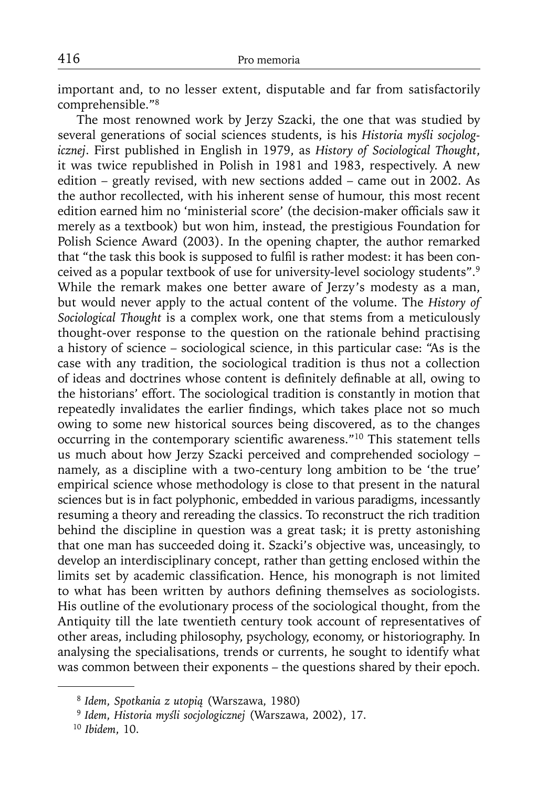important and, to no lesser extent, disputable and far from satisfactorily comprehensible."8

The most renowned work by Jerzy Szacki, the one that was studied by several generations of social sciences students, is his *Historia myśli socjologicznej*. First published in English in 1979, as *History of Sociological Thought*, it was twice republished in Polish in 1981 and 1983, respectively. A new edition – greatly revised, with new sections added – came out in 2002. As the author recollected, with his inherent sense of humour, this most recent edition earned him no 'ministerial score' (the decision-maker officials saw it merely as a textbook) but won him, instead, the prestigious Foundation for Polish Science Award (2003). In the opening chapter, the author remarked that "the task this book is supposed to fulfil is rather modest: it has been conceived as a popular textbook of use for university-level sociology students".9 While the remark makes one better aware of Jerzy's modesty as a man, but would never apply to the actual content of the volume. The *History of Sociological Thought* is a complex work, one that stems from a meticulously thought-over response to the question on the rationale behind practising a history of science – sociological science, in this particular case: "As is the case with any tradition, the sociological tradition is thus not a collection of ideas and doctrines whose content is definitely definable at all, owing to the historians' effort. The sociological tradition is constantly in motion that repeatedly invalidates the earlier findings, which takes place not so much owing to some new historical sources being discovered, as to the changes occurring in the contemporary scientific awareness."<sup>10</sup> This statement tells us much about how Jerzy Szacki perceived and comprehended sociology – namely, as a discipline with a two-century long ambition to be 'the true' empirical science whose methodology is close to that present in the natural sciences but is in fact polyphonic, embedded in various paradigms, incessantly resuming a theory and rereading the classics. To reconstruct the rich tradition behind the discipline in question was a great task; it is pretty astonishing that one man has succeeded doing it. Szacki's objective was, unceasingly, to develop an interdisciplinary concept, rather than getting enclosed within the limits set by academic classification. Hence, his monograph is not limited to what has been written by authors defining themselves as sociologists. His outline of the evolutionary process of the sociological thought, from the Antiquity till the late twentieth century took account of representatives of other areas, including philosophy, psychology, economy, or historiography. In analysing the specialisations, trends or currents, he sought to identify what was common between their exponents – the questions shared by their epoch.

<sup>8</sup>*Idem*, *Spotkania z utopią* (Warszawa, 1980)

<sup>9</sup>*Idem*, *Historia myśli socjologicznej* (Warszawa, 2002), 17.

<sup>10</sup> *Ibidem*, 10.